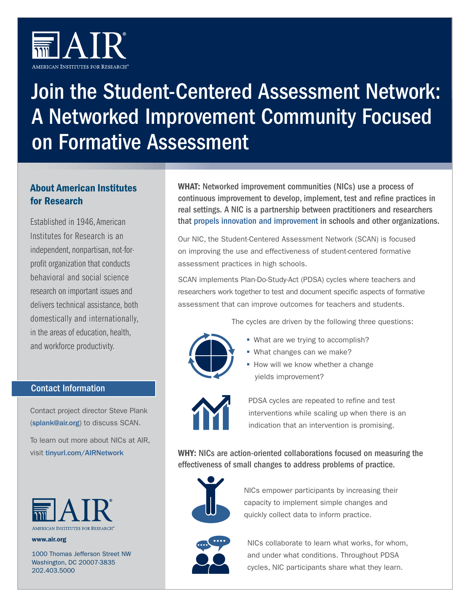

# Join the Student-Centered Assessment Network: A Networked Improvement Community Focused on Formative Assessment

# About American Institutes for Research

Established in 1946, American Institutes for Research is an independent, nonpartisan, not-forprofit organization that conducts behavioral and social science research on important issues and delivers technical assistance, both domestically and internationally, in the areas of education, health, and workforce productivity.

## Contact Information

Contact project director Steve Plank ([splank@air.org](mailto:splank@air.org)) to discuss SCAN.

To learn out more about NICs at AIR, visit [tinyurl.com/AIRNetwork](http://tinyurl.com/AIRNetwork)



www.air.org

1000 Thomas Jefferson Street NW Washington, DC 20007-3835 202.403.5000

WHAT: Networked improvement communities (NICs) use a process of continuous improvement to develop, implement, test and refine practices in real settings. A NIC is a partnership between practitioners and researchers that [propels innovation and improvement](https://www.carnegiefoundation.org/blog/why-a-nic/) in schools and other organizations.

Our NIC, the Student-Centered Assessment Network (SCAN) is focused on improving the use and effectiveness of student-centered formative assessment practices in high schools.

SCAN implements Plan-Do-Study-Act (PDSA) cycles where teachers and researchers work together to test and document specific aspects of formative assessment that can improve outcomes for teachers and students.

The cycles are driven by the following three questions:



- **What are we trying to accomplish?**
- **What changes can we make?**
- **How will we know whether a change** yields improvement?



PDSA cycles are repeated to refine and test interventions while scaling up when there is an indication that an intervention is promising.

WHY: NICs are action-oriented collaborations focused on measuring the effectiveness of small changes to address problems of practice.



NICs empower participants by increasing their capacity to implement simple changes and quickly collect data to inform practice.



NICs collaborate to learn what works, for whom, and under what conditions. Throughout PDSA cycles, NIC participants share what they learn.